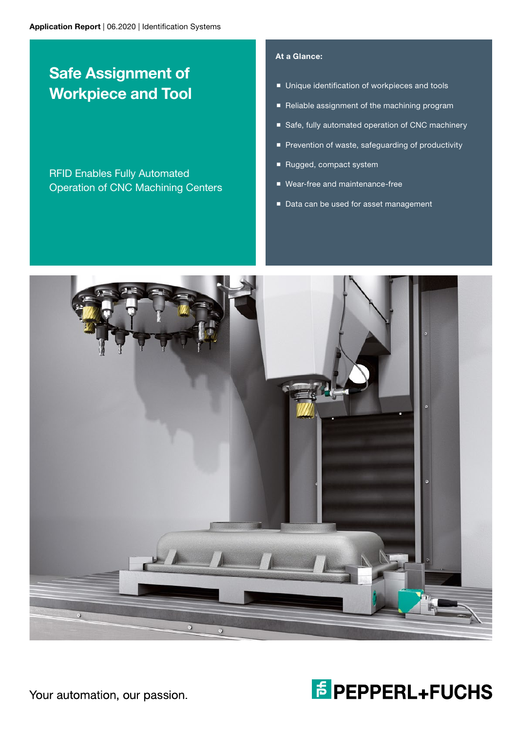# Safe Assignment of Workpiece and Tool

RFID Enables Fully Automated Operation of CNC Machining Centers

## At a Glance:

- **Unique identification of workpieces and tools**
- Reliable assignment of the machining program
- Safe, fully automated operation of CNC machinery
- Prevention of waste, safeguarding of productivity
- Rugged, compact system
- Wear-free and maintenance-free
- Data can be used for asset management





Your automation, our passion.